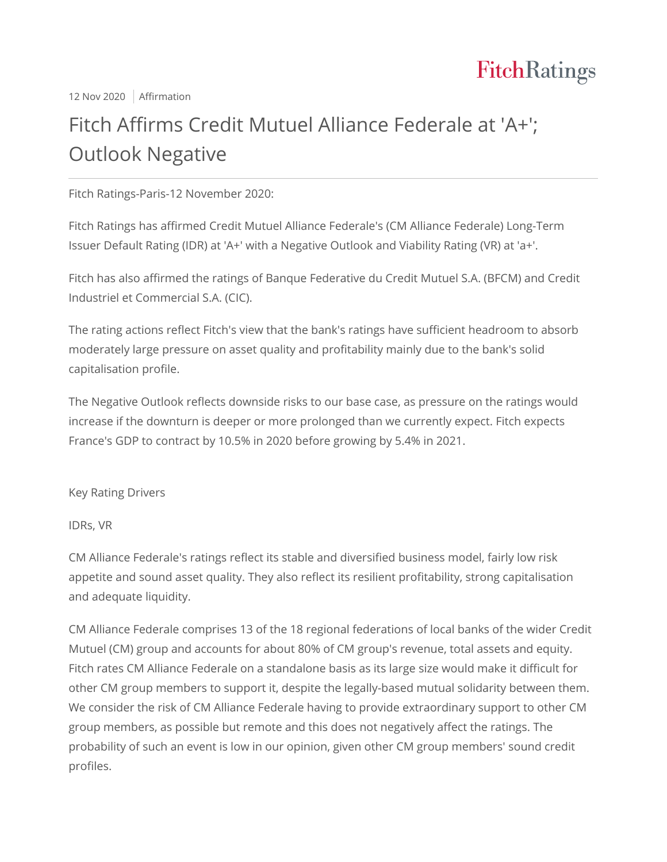

12 Nov 2020 | Affirmation

# Fitch Affirms Credit Mutuel Alliance Federale at 'A+'; Outlook Negative

Fitch Ratings-Paris-12 November 2020:

Fitch Ratings has affirmed Credit Mutuel Alliance Federale's (CM Alliance Federale) Long-Term Issuer Default Rating (IDR) at 'A+' with a Negative Outlook and Viability Rating (VR) at 'a+'.

Fitch has also affirmed the ratings of Banque Federative du Credit Mutuel S.A. (BFCM) and Credit Industriel et Commercial S.A. (CIC).

The rating actions reflect Fitch's view that the bank's ratings have sufficient headroom to absorb moderately large pressure on asset quality and profitability mainly due to the bank's solid capitalisation profile.

The Negative Outlook reflects downside risks to our base case, as pressure on the ratings would increase if the downturn is deeper or more prolonged than we currently expect. Fitch expects France's GDP to contract by 10.5% in 2020 before growing by 5.4% in 2021.

Key Rating Drivers

IDRs, VR

CM Alliance Federale's ratings reflect its stable and diversified business model, fairly low risk appetite and sound asset quality. They also reflect its resilient profitability, strong capitalisation and adequate liquidity.

CM Alliance Federale comprises 13 of the 18 regional federations of local banks of the wider Credit Mutuel (CM) group and accounts for about 80% of CM group's revenue, total assets and equity. Fitch rates CM Alliance Federale on a standalone basis as its large size would make it difficult for other CM group members to support it, despite the legally-based mutual solidarity between them. We consider the risk of CM Alliance Federale having to provide extraordinary support to other CM group members, as possible but remote and this does not negatively affect the ratings. The probability of such an event is low in our opinion, given other CM group members' sound credit profiles.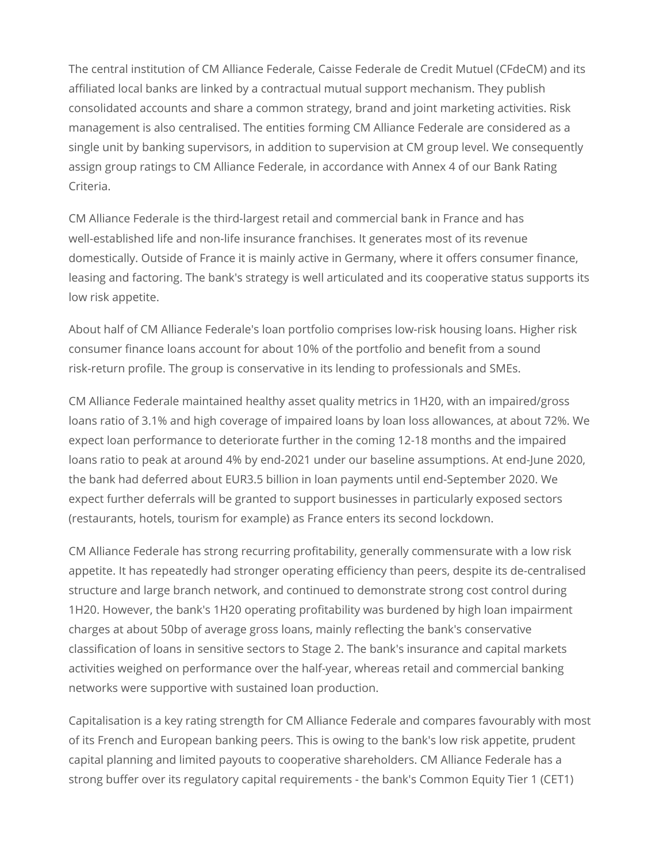The central institution of CM Alliance Federale, Caisse Federale de Credit Mutuel (CFdeCM) and its affiliated local banks are linked by a contractual mutual support mechanism. They publish consolidated accounts and share a common strategy, brand and joint marketing activities. Risk management is also centralised. The entities forming CM Alliance Federale are considered as a single unit by banking supervisors, in addition to supervision at CM group level. We consequently assign group ratings to CM Alliance Federale, in accordance with Annex 4 of our Bank Rating Criteria.

CM Alliance Federale is the third-largest retail and commercial bank in France and has well-established life and non-life insurance franchises. It generates most of its revenue domestically. Outside of France it is mainly active in Germany, where it offers consumer finance, leasing and factoring. The bank's strategy is well articulated and its cooperative status supports its low risk appetite.

About half of CM Alliance Federale's loan portfolio comprises low-risk housing loans. Higher risk consumer finance loans account for about 10% of the portfolio and benefit from a sound risk-return profile. The group is conservative in its lending to professionals and SMEs.

CM Alliance Federale maintained healthy asset quality metrics in 1H20, with an impaired/gross loans ratio of 3.1% and high coverage of impaired loans by loan loss allowances, at about 72%. We expect loan performance to deteriorate further in the coming 12-18 months and the impaired loans ratio to peak at around 4% by end-2021 under our baseline assumptions. At end-June 2020, the bank had deferred about EUR3.5 billion in loan payments until end-September 2020. We expect further deferrals will be granted to support businesses in particularly exposed sectors (restaurants, hotels, tourism for example) as France enters its second lockdown.

CM Alliance Federale has strong recurring profitability, generally commensurate with a low risk appetite. It has repeatedly had stronger operating efficiency than peers, despite its de-centralised structure and large branch network, and continued to demonstrate strong cost control during 1H20. However, the bank's 1H20 operating profitability was burdened by high loan impairment charges at about 50bp of average gross loans, mainly reflecting the bank's conservative classification of loans in sensitive sectors to Stage 2. The bank's insurance and capital markets activities weighed on performance over the half-year, whereas retail and commercial banking networks were supportive with sustained loan production.

Capitalisation is a key rating strength for CM Alliance Federale and compares favourably with most of its French and European banking peers. This is owing to the bank's low risk appetite, prudent capital planning and limited payouts to cooperative shareholders. CM Alliance Federale has a strong buffer over its regulatory capital requirements - the bank's Common Equity Tier 1 (CET1)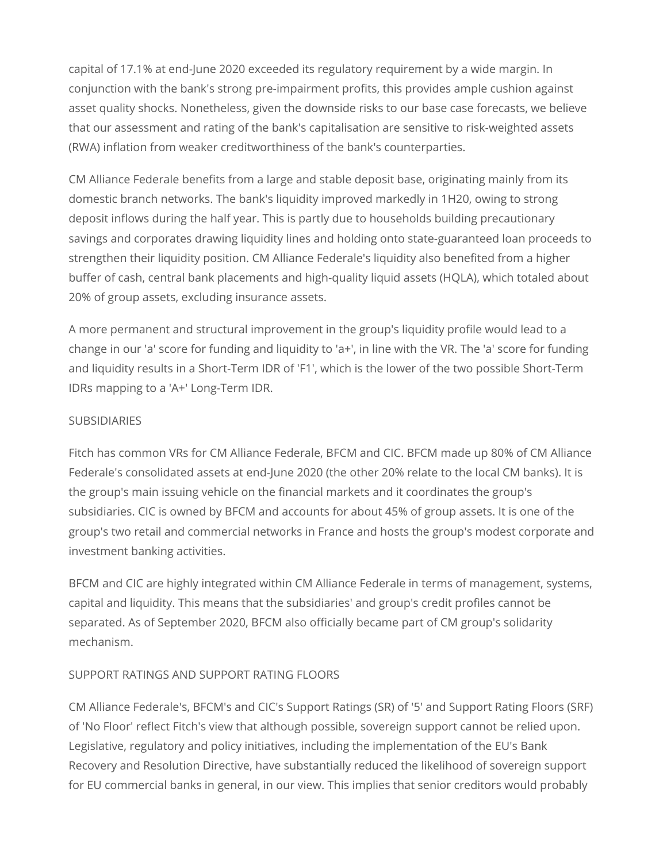capital of 17.1% at end-June 2020 exceeded its regulatory requirement by a wide margin. In conjunction with the bank's strong pre-impairment profits, this provides ample cushion against asset quality shocks. Nonetheless, given the downside risks to our base case forecasts, we believe that our assessment and rating of the bank's capitalisation are sensitive to risk-weighted assets (RWA) inflation from weaker creditworthiness of the bank's counterparties.

CM Alliance Federale benefits from a large and stable deposit base, originating mainly from its domestic branch networks. The bank's liquidity improved markedly in 1H20, owing to strong deposit inflows during the half year. This is partly due to households building precautionary savings and corporates drawing liquidity lines and holding onto state-guaranteed loan proceeds to strengthen their liquidity position. CM Alliance Federale's liquidity also benefited from a higher buffer of cash, central bank placements and high-quality liquid assets (HQLA), which totaled about 20% of group assets, excluding insurance assets.

A more permanent and structural improvement in the group's liquidity profile would lead to a change in our 'a' score for funding and liquidity to 'a+', in line with the VR. The 'a' score for funding and liquidity results in a Short-Term IDR of 'F1', which is the lower of the two possible Short-Term IDRs mapping to a 'A+' Long-Term IDR.

#### SUBSIDIARIES

Fitch has common VRs for CM Alliance Federale, BFCM and CIC. BFCM made up 80% of CM Alliance Federale's consolidated assets at end-June 2020 (the other 20% relate to the local CM banks). It is the group's main issuing vehicle on the financial markets and it coordinates the group's subsidiaries. CIC is owned by BFCM and accounts for about 45% of group assets. It is one of the group's two retail and commercial networks in France and hosts the group's modest corporate and investment banking activities.

BFCM and CIC are highly integrated within CM Alliance Federale in terms of management, systems, capital and liquidity. This means that the subsidiaries' and group's credit profiles cannot be separated. As of September 2020, BFCM also officially became part of CM group's solidarity mechanism.

## SUPPORT RATINGS AND SUPPORT RATING FLOORS

CM Alliance Federale's, BFCM's and CIC's Support Ratings (SR) of '5' and Support Rating Floors (SRF) of 'No Floor' reflect Fitch's view that although possible, sovereign support cannot be relied upon. Legislative, regulatory and policy initiatives, including the implementation of the EU's Bank Recovery and Resolution Directive, have substantially reduced the likelihood of sovereign support for EU commercial banks in general, in our view. This implies that senior creditors would probably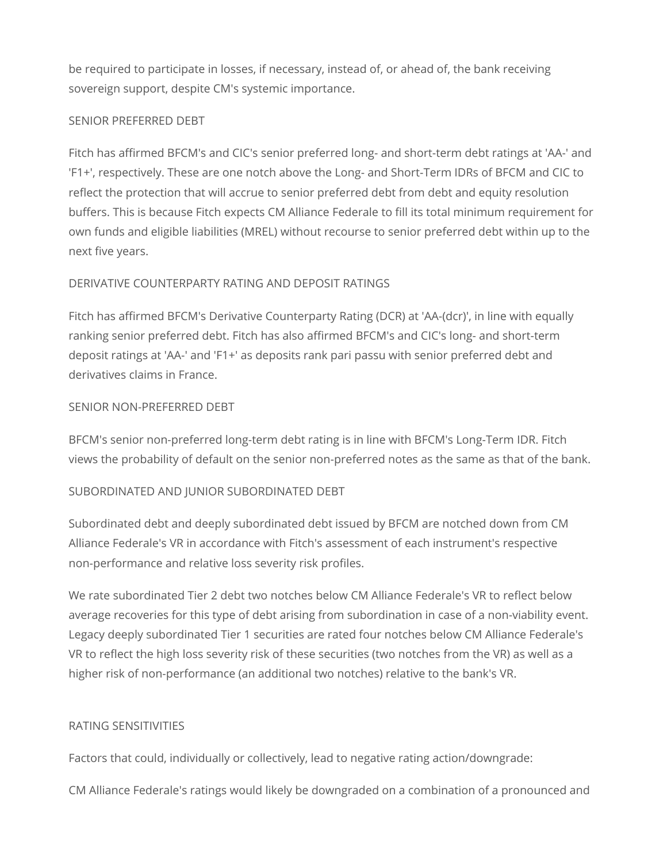be required to participate in losses, if necessary, instead of, or ahead of, the bank receiving sovereign support, despite CM's systemic importance.

#### SENIOR PREFERRED DEBT

Fitch has affirmed BFCM's and CIC's senior preferred long- and short-term debt ratings at 'AA-' and 'F1+', respectively. These are one notch above the Long- and Short-Term IDRs of BFCM and CIC to reflect the protection that will accrue to senior preferred debt from debt and equity resolution buffers. This is because Fitch expects CM Alliance Federale to fill its total minimum requirement for own funds and eligible liabilities (MREL) without recourse to senior preferred debt within up to the next five years.

## DERIVATIVE COUNTERPARTY RATING AND DEPOSIT RATINGS

Fitch has affirmed BFCM's Derivative Counterparty Rating (DCR) at 'AA-(dcr)', in line with equally ranking senior preferred debt. Fitch has also affirmed BFCM's and CIC's long- and short-term deposit ratings at 'AA-' and 'F1+' as deposits rank pari passu with senior preferred debt and derivatives claims in France.

## SENIOR NON-PREFERRED DEBT

BFCM's senior non-preferred long-term debt rating is in line with BFCM's Long-Term IDR. Fitch views the probability of default on the senior non-preferred notes as the same as that of the bank.

## SUBORDINATED AND JUNIOR SUBORDINATED DEBT

Subordinated debt and deeply subordinated debt issued by BFCM are notched down from CM Alliance Federale's VR in accordance with Fitch's assessment of each instrument's respective non-performance and relative loss severity risk profiles.

We rate subordinated Tier 2 debt two notches below CM Alliance Federale's VR to reflect below average recoveries for this type of debt arising from subordination in case of a non-viability event. Legacy deeply subordinated Tier 1 securities are rated four notches below CM Alliance Federale's VR to reflect the high loss severity risk of these securities (two notches from the VR) as well as a higher risk of non-performance (an additional two notches) relative to the bank's VR.

## RATING SENSITIVITIES

Factors that could, individually or collectively, lead to negative rating action/downgrade:

CM Alliance Federale's ratings would likely be downgraded on a combination of a pronounced and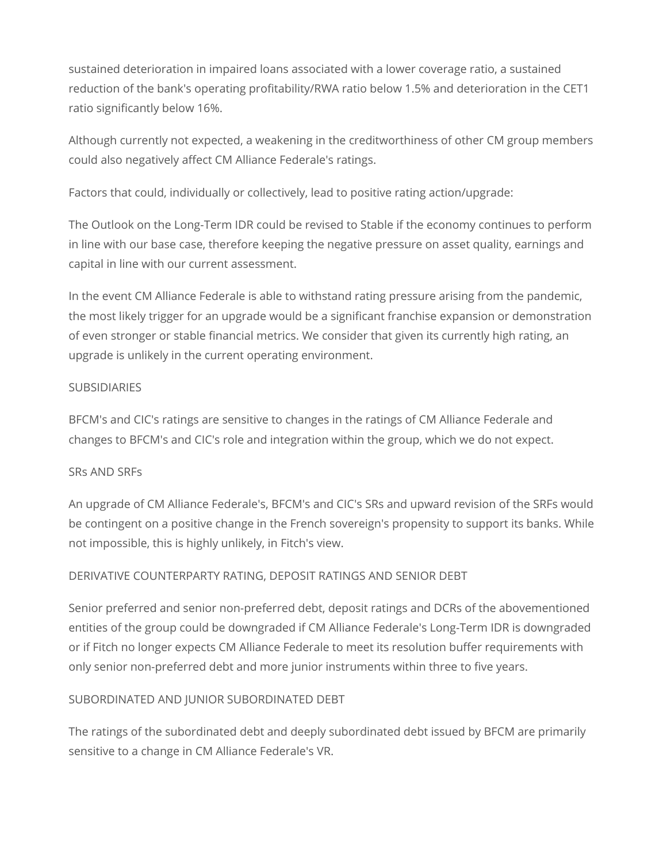sustained deterioration in impaired loans associated with a lower coverage ratio, a sustained reduction of the bank's operating profitability/RWA ratio below 1.5% and deterioration in the CET1 ratio significantly below 16%.

Although currently not expected, a weakening in the creditworthiness of other CM group members could also negatively affect CM Alliance Federale's ratings.

Factors that could, individually or collectively, lead to positive rating action/upgrade:

The Outlook on the Long-Term IDR could be revised to Stable if the economy continues to perform in line with our base case, therefore keeping the negative pressure on asset quality, earnings and capital in line with our current assessment.

In the event CM Alliance Federale is able to withstand rating pressure arising from the pandemic, the most likely trigger for an upgrade would be a significant franchise expansion or demonstration of even stronger or stable financial metrics. We consider that given its currently high rating, an upgrade is unlikely in the current operating environment.

#### **SUBSIDIARIES**

BFCM's and CIC's ratings are sensitive to changes in the ratings of CM Alliance Federale and changes to BFCM's and CIC's role and integration within the group, which we do not expect.

#### SRs AND SRFs

An upgrade of CM Alliance Federale's, BFCM's and CIC's SRs and upward revision of the SRFs would be contingent on a positive change in the French sovereign's propensity to support its banks. While not impossible, this is highly unlikely, in Fitch's view.

## DERIVATIVE COUNTERPARTY RATING, DEPOSIT RATINGS AND SENIOR DEBT

Senior preferred and senior non-preferred debt, deposit ratings and DCRs of the abovementioned entities of the group could be downgraded if CM Alliance Federale's Long-Term IDR is downgraded or if Fitch no longer expects CM Alliance Federale to meet its resolution buffer requirements with only senior non-preferred debt and more junior instruments within three to five years.

## SUBORDINATED AND JUNIOR SUBORDINATED DEBT

The ratings of the subordinated debt and deeply subordinated debt issued by BFCM are primarily sensitive to a change in CM Alliance Federale's VR.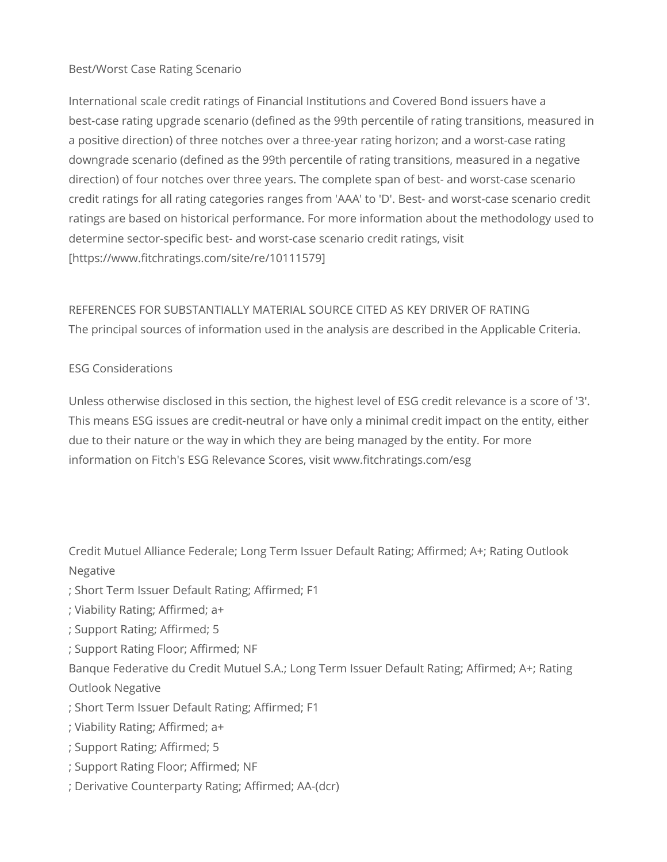## Best/Worst Case Rating Scenario

International scale credit ratings of Financial Institutions and Covered Bond issuers have a best-case rating upgrade scenario (defined as the 99th percentile of rating transitions, measured in a positive direction) of three notches over a three-year rating horizon; and a worst-case rating downgrade scenario (defined as the 99th percentile of rating transitions, measured in a negative direction) of four notches over three years. The complete span of best- and worst-case scenario credit ratings for all rating categories ranges from 'AAA' to 'D'. Best- and worst-case scenario credit ratings are based on historical performance. For more information about the methodology used to determine sector-specific best- and worst-case scenario credit ratings, visit [https://www.fitchratings.com/site/re/10111579]

## REFERENCES FOR SUBSTANTIALLY MATERIAL SOURCE CITED AS KEY DRIVER OF RATING The principal sources of information used in the analysis are described in the Applicable Criteria.

## ESG Considerations

Unless otherwise disclosed in this section, the highest level of ESG credit relevance is a score of '3'. This means ESG issues are credit-neutral or have only a minimal credit impact on the entity, either due to their nature or the way in which they are being managed by the entity. For more information on Fitch's ESG Relevance Scores, visit www.fitchratings.com/esg

Credit Mutuel Alliance Federale; Long Term Issuer Default Rating; Affirmed; A+; Rating Outlook Negative

- ; Short Term Issuer Default Rating; Affirmed; F1
- ; Viability Rating; Affirmed; a+
- ; Support Rating; Affirmed; 5
- ; Support Rating Floor; Affirmed; NF

Banque Federative du Credit Mutuel S.A.; Long Term Issuer Default Rating; Affirmed; A+; Rating Outlook Negative

- ; Short Term Issuer Default Rating; Affirmed; F1
- ; Viability Rating; Affirmed; a+
- ; Support Rating; Affirmed; 5
- ; Support Rating Floor; Affirmed; NF
- ; Derivative Counterparty Rating; Affirmed; AA-(dcr)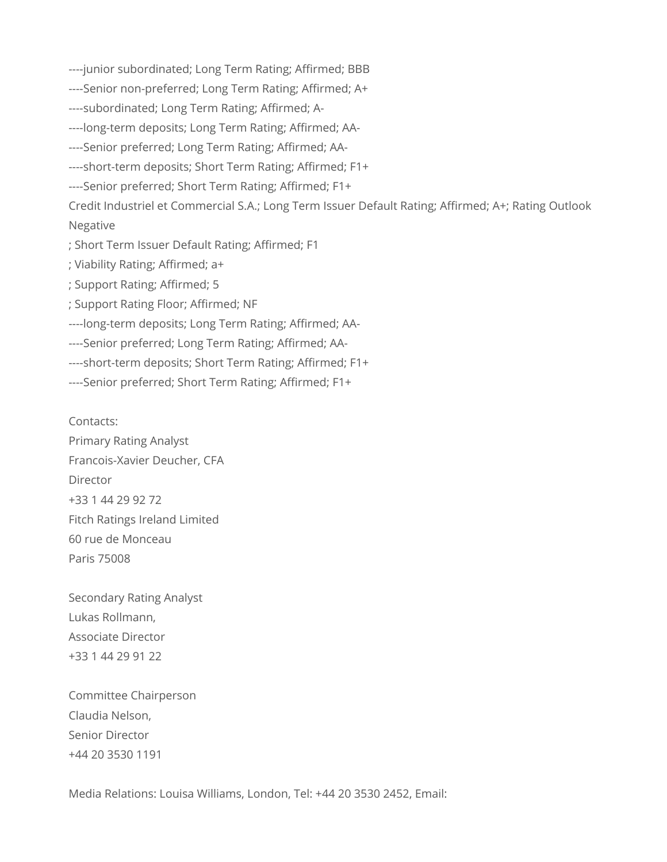----junior subordinated; Long Term Rating; Affirmed; BBB

----Senior non-preferred; Long Term Rating; Affirmed; A+

----subordinated; Long Term Rating; Affirmed; A-

----long-term deposits; Long Term Rating; Affirmed; AA-

----Senior preferred; Long Term Rating; Affirmed; AA-

----short-term deposits; Short Term Rating; Affirmed; F1+

----Senior preferred; Short Term Rating; Affirmed; F1+

Credit Industriel et Commercial S.A.; Long Term Issuer Default Rating; Affirmed; A+; Rating Outlook Negative

; Short Term Issuer Default Rating; Affirmed; F1

; Viability Rating; Affirmed; a+

; Support Rating; Affirmed; 5

; Support Rating Floor; Affirmed; NF

----long-term deposits; Long Term Rating; Affirmed; AA-

----Senior preferred; Long Term Rating; Affirmed; AA-

----short-term deposits; Short Term Rating; Affirmed; F1+

----Senior preferred; Short Term Rating; Affirmed; F1+

Contacts: Primary Rating Analyst Francois-Xavier Deucher, CFA Director +33 1 44 29 92 72 Fitch Ratings Ireland Limited 60 rue de Monceau Paris 75008

Secondary Rating Analyst Lukas Rollmann, Associate Director +33 1 44 29 91 22

Committee Chairperson Claudia Nelson, Senior Director +44 20 3530 1191

Media Relations: Louisa Williams, London, Tel: +44 20 3530 2452, Email: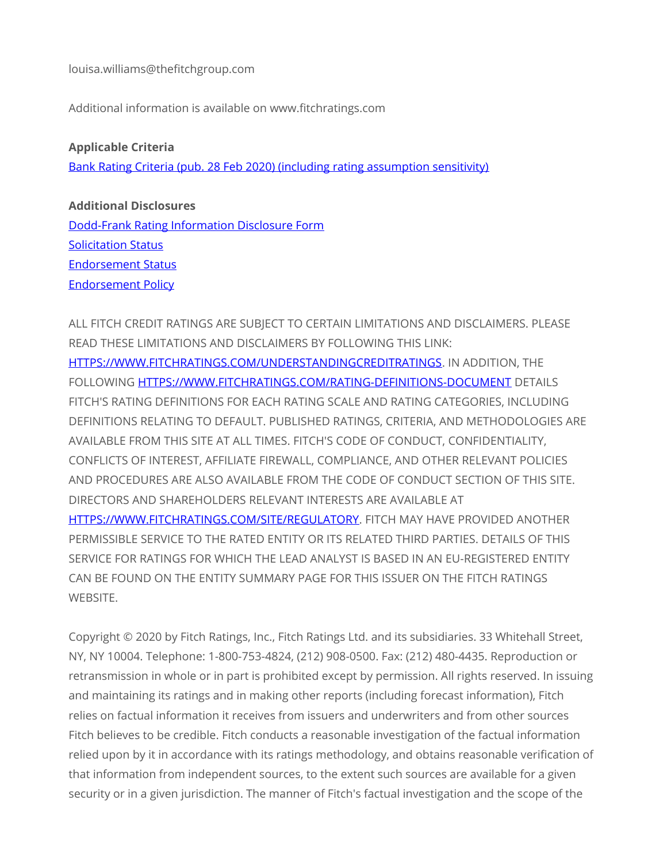louisa.williams@thefitchgroup.com

Additional information is available on www.fitchratings.com

#### **Applicable Criteria**

[Bank Rating Criteria \(pub. 28 Feb 2020\) \(including rating assumption sensitivity\)](https://app.fitchconnect.com/search/research/article/RPT_10110041)

### **Additional Disclosures**

[Dodd-Frank Rating Information Disclosure Form](https://www.fitchratings.com/site/dodd-frank-disclosure/10142759) [Solicitation Status](https://www.fitchratings.com/site/pr/10142759#solicitation) [Endorsement Status](https://www.fitchratings.com/site/pr/10142759#endorsement_status) [Endorsement Policy](#page-9-0)

ALL FITCH CREDIT RATINGS ARE SUBJECT TO CERTAIN LIMITATIONS AND DISCLAIMERS. PLEASE READ THESE LIMITATIONS AND DISCLAIMERS BY FOLLOWING THIS LINK: [HTTPS://WWW.FITCHRATINGS.COM/UNDERSTANDINGCREDITRATINGS.](https://www.fitchratings.com/UNDERSTANDINGCREDITRATINGS) IN ADDITION, THE FOLLOWING [HTTPS://WWW.FITCHRATINGS.COM/RATING-DEFINITIONS-DOCUMENT](https://www.fitchratings.com/rating-definitions-document) DETAILS FITCH'S RATING DEFINITIONS FOR EACH RATING SCALE AND RATING CATEGORIES, INCLUDING DEFINITIONS RELATING TO DEFAULT. PUBLISHED RATINGS, CRITERIA, AND METHODOLOGIES ARE AVAILABLE FROM THIS SITE AT ALL TIMES. FITCH'S CODE OF CONDUCT, CONFIDENTIALITY, CONFLICTS OF INTEREST, AFFILIATE FIREWALL, COMPLIANCE, AND OTHER RELEVANT POLICIES AND PROCEDURES ARE ALSO AVAILABLE FROM THE CODE OF CONDUCT SECTION OF THIS SITE. DIRECTORS AND SHAREHOLDERS RELEVANT INTERESTS ARE AVAILABLE AT [HTTPS://WWW.FITCHRATINGS.COM/SITE/REGULATORY.](https://www.fitchratings.com/site/regulatory) FITCH MAY HAVE PROVIDED ANOTHER PERMISSIBLE SERVICE TO THE RATED ENTITY OR ITS RELATED THIRD PARTIES. DETAILS OF THIS SERVICE FOR RATINGS FOR WHICH THE LEAD ANALYST IS BASED IN AN EU-REGISTERED ENTITY CAN BE FOUND ON THE ENTITY SUMMARY PAGE FOR THIS ISSUER ON THE FITCH RATINGS WEBSITE.

Copyright © 2020 by Fitch Ratings, Inc., Fitch Ratings Ltd. and its subsidiaries. 33 Whitehall Street, NY, NY 10004. Telephone: 1-800-753-4824, (212) 908-0500. Fax: (212) 480-4435. Reproduction or retransmission in whole or in part is prohibited except by permission. All rights reserved. In issuing and maintaining its ratings and in making other reports (including forecast information), Fitch relies on factual information it receives from issuers and underwriters and from other sources Fitch believes to be credible. Fitch conducts a reasonable investigation of the factual information relied upon by it in accordance with its ratings methodology, and obtains reasonable verification of that information from independent sources, to the extent such sources are available for a given security or in a given jurisdiction. The manner of Fitch's factual investigation and the scope of the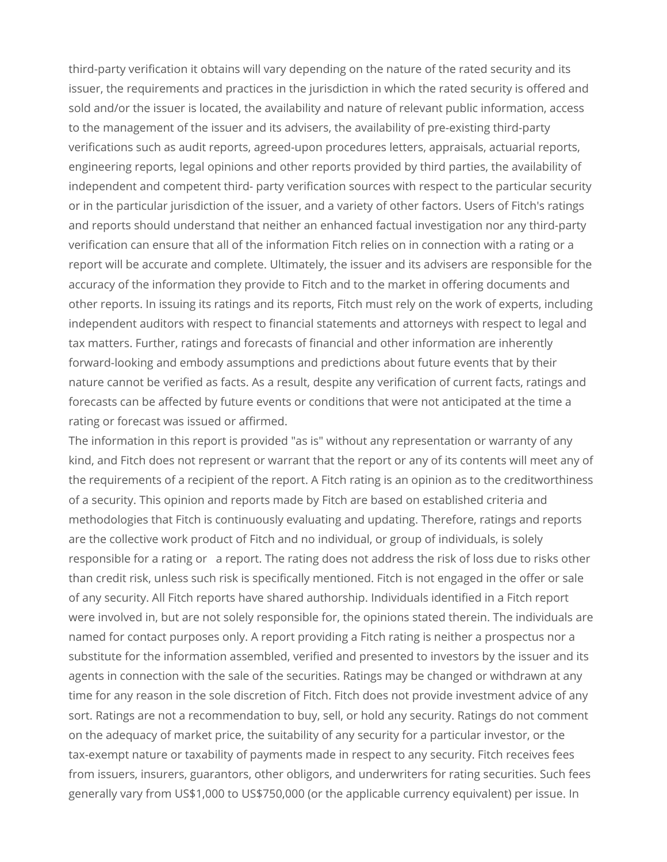third-party verification it obtains will vary depending on the nature of the rated security and its issuer, the requirements and practices in the jurisdiction in which the rated security is offered and sold and/or the issuer is located, the availability and nature of relevant public information, access to the management of the issuer and its advisers, the availability of pre-existing third-party verifications such as audit reports, agreed-upon procedures letters, appraisals, actuarial reports, engineering reports, legal opinions and other reports provided by third parties, the availability of independent and competent third- party verification sources with respect to the particular security or in the particular jurisdiction of the issuer, and a variety of other factors. Users of Fitch's ratings and reports should understand that neither an enhanced factual investigation nor any third-party verification can ensure that all of the information Fitch relies on in connection with a rating or a report will be accurate and complete. Ultimately, the issuer and its advisers are responsible for the accuracy of the information they provide to Fitch and to the market in offering documents and other reports. In issuing its ratings and its reports, Fitch must rely on the work of experts, including independent auditors with respect to financial statements and attorneys with respect to legal and tax matters. Further, ratings and forecasts of financial and other information are inherently forward-looking and embody assumptions and predictions about future events that by their nature cannot be verified as facts. As a result, despite any verification of current facts, ratings and forecasts can be affected by future events or conditions that were not anticipated at the time a rating or forecast was issued or affirmed.

The information in this report is provided "as is" without any representation or warranty of any kind, and Fitch does not represent or warrant that the report or any of its contents will meet any of the requirements of a recipient of the report. A Fitch rating is an opinion as to the creditworthiness of a security. This opinion and reports made by Fitch are based on established criteria and methodologies that Fitch is continuously evaluating and updating. Therefore, ratings and reports are the collective work product of Fitch and no individual, or group of individuals, is solely responsible for a rating or a report. The rating does not address the risk of loss due to risks other than credit risk, unless such risk is specifically mentioned. Fitch is not engaged in the offer or sale of any security. All Fitch reports have shared authorship. Individuals identified in a Fitch report were involved in, but are not solely responsible for, the opinions stated therein. The individuals are named for contact purposes only. A report providing a Fitch rating is neither a prospectus nor a substitute for the information assembled, verified and presented to investors by the issuer and its agents in connection with the sale of the securities. Ratings may be changed or withdrawn at any time for any reason in the sole discretion of Fitch. Fitch does not provide investment advice of any sort. Ratings are not a recommendation to buy, sell, or hold any security. Ratings do not comment on the adequacy of market price, the suitability of any security for a particular investor, or the tax-exempt nature or taxability of payments made in respect to any security. Fitch receives fees from issuers, insurers, guarantors, other obligors, and underwriters for rating securities. Such fees generally vary from US\$1,000 to US\$750,000 (or the applicable currency equivalent) per issue. In